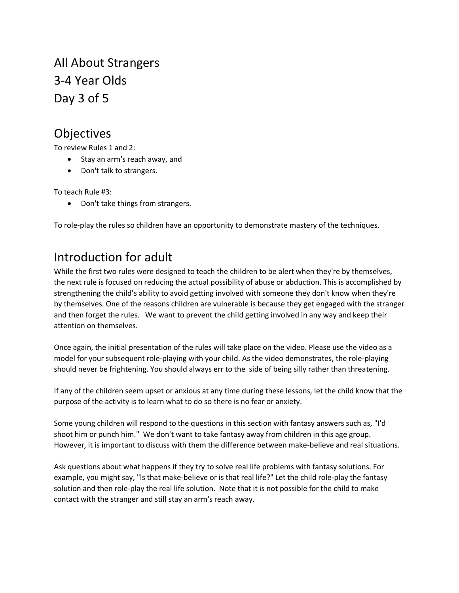All About Strangers 3-4 Year Olds Day 3 of 5

## Objectives

To review Rules 1 and 2:

- Stay an arm's reach away, and
- Don't talk to strangers.

To teach Rule #3:

• Don't take things from strangers.

To role-play the rules so children have an opportunity to demonstrate mastery of the techniques.

## Introduction for adult

While the first two rules were designed to teach the children to be alert when they're by themselves, the next rule is focused on reducing the actual possibility of abuse or abduction. This is accomplished by strengthening the child's ability to avoid getting involved with someone they don't know when they're by themselves. One of the reasons children are vulnerable is because they get engaged with the stranger and then forget the rules. We want to prevent the child getting involved in any way and keep their attention on themselves.

Once again, the initial presentation of the rules will take place on the video. Please use the video as a model for your subsequent role-playing with your child. As the video demonstrates, the role-playing should never be frightening. You should always err to the side of being silly rather than threatening.

If any of the children seem upset or anxious at any time during these lessons, let the child know that the purpose of the activity is to learn what to do so there is no fear or anxiety.

Some young children will respond to the questions in this section with fantasy answers such as, "I'd shoot him or punch him." We don't want to take fantasy away from children in this age group. However, it is important to discuss with them the difference between make-believe and real situations.

Ask questions about what happens if they try to solve real life problems with fantasy solutions. For example, you might say, "ls that make-believe or is that real life?" Let the child role-play the fantasy solution and then role-play the real life solution. Note that it is not possible for the child to make contact with the stranger and still stay an arm's reach away.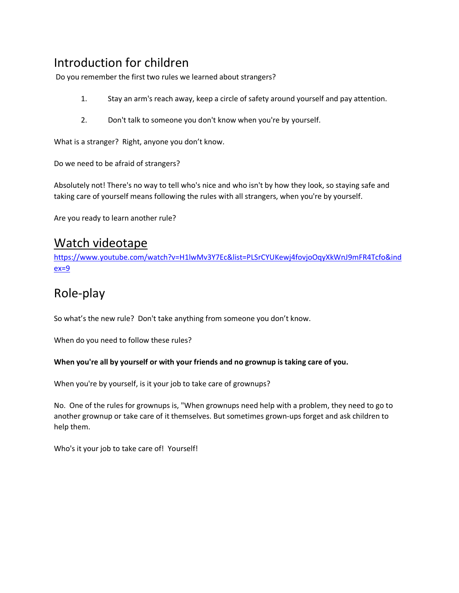# Introduction for children

Do you remember the first two rules we learned about strangers?

- 1. Stay an arm's reach away, keep a circle of safety around yourself and pay attention.
- 2. Don't talk to someone you don't know when you're by yourself.

What is a stranger? Right, anyone you don't know.

Do we need to be afraid of strangers?

Absolutely not! There's no way to tell who's nice and who isn't by how they look, so staying safe and taking care of yourself means following the rules with all strangers, when you're by yourself.

Are you ready to learn another rule?

### Watch videotape

[https://www.youtube.com/watch?v=H1lwMv3Y7Ec&list=PLSrCYUKewj4fovjoOqyXkWnJ9mFR4Tcfo&ind](https://www.youtube.com/watch?v=H1lwMv3Y7Ec&list=PLSrCYUKewj4fovjoOqyXkWnJ9mFR4Tcfo&index=9)  $ex=9$ 

# Role-play

So what's the new rule? Don't take anything from someone you don't know.

When do you need to follow these rules?

#### **When you're all by yourself or with your friends and no grownup is taking care of you.**

When you're by yourself, is it your job to take care of grownups?

No. One of the rules for grownups is, "When grownups need help with a problem, they need to go to another grownup or take care of it themselves. But sometimes grown-ups forget and ask children to help them.

Who's it your job to take care of! Yourself!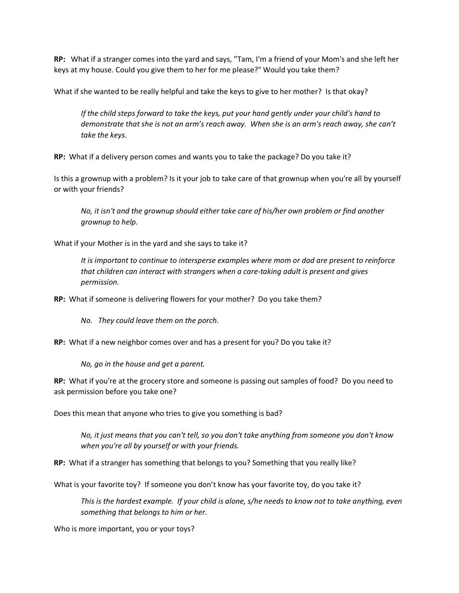**RP:** What if a stranger comes into the yard and says, "Tam, I'm a friend of your Mom's and she left her keys at my house. Could you give them to her for me please?" Would you take them?

What if she wanted to be really helpful and take the keys to give to her mother? Is that okay?

*If the child steps forward to take the keys, put your hand gently under your child's hand to demonstrate that she is not an arm's reach away. When she is an arm's reach away, she can't take the keys.*

**RP:** What if a delivery person comes and wants you to take the package? Do you take it?

Is this a grownup with a problem? Is it your job to take care of that grownup when you're all by yourself or with your friends?

*No, it isn't and the grownup should either take care of his/her own problem or find another grownup to help.*

What if your Mother is in the yard and she says to take it?

*It is important to continue to intersperse examples where mom or dad are present to reinforce that children can interact with strangers when a care-taking adult is present and gives permission.*

**RP:** What if someone is delivering flowers for your mother? Do you take them?

*No. They could leave them on the porch.*

**RP:** What if a new neighbor comes over and has a present for you? Do you take it?

*No, go in the house and get a parent.*

**RP:** What if you're at the grocery store and someone is passing out samples of food? Do you need to ask permission before you take one?

Does this mean that anyone who tries to give you something is bad?

*No, it just means that you can't tell, so you don't take anything from someone you don't know when you're all by yourself or with your friends.*

**RP:** What if a stranger has something that belongs to you? Something that you really like?

What is your favorite toy? If someone you don't know has your favorite toy, do you take it?

*This is the hardest example. If your child is alone, s/he needs to know not to take anything, even something that belongs to him or her.* 

Who is more important, you or your toys?